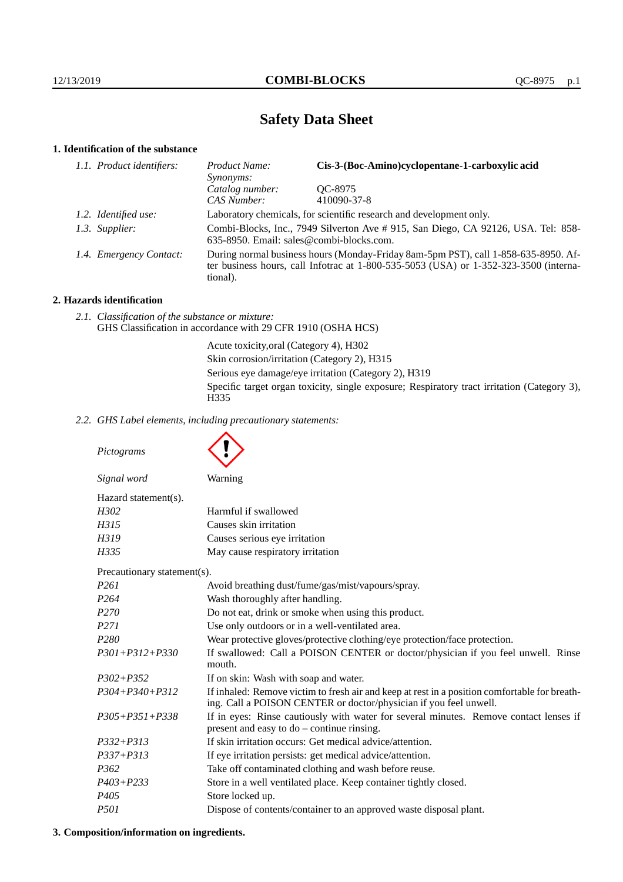# **Safety Data Sheet**

# **1. Identification of the substance**

| 1.1. Product identifiers: | Cis-3-(Boc-Amino)cyclopentane-1-carboxylic acid<br>Product Name:<br><i>Synonyms:</i>                                                                                                        |                        |
|---------------------------|---------------------------------------------------------------------------------------------------------------------------------------------------------------------------------------------|------------------------|
|                           | Catalog number:<br>CAS Number:                                                                                                                                                              | OC-8975<br>410090-37-8 |
| 1.2. Identified use:      | Laboratory chemicals, for scientific research and development only.                                                                                                                         |                        |
| 1.3. Supplier:            | Combi-Blocks, Inc., 7949 Silverton Ave # 915, San Diego, CA 92126, USA. Tel: 858-<br>635-8950. Email: sales@combi-blocks.com.                                                               |                        |
| 1.4. Emergency Contact:   | During normal business hours (Monday-Friday 8am-5pm PST), call 1-858-635-8950. Af-<br>ter business hours, call Infotrac at $1-800-535-5053$ (USA) or $1-352-323-3500$ (interna-<br>tional). |                        |

# **2. Hazards identification**

*2.1. Classification of the substance or mixture:* GHS Classification in accordance with 29 CFR 1910 (OSHA HCS)

> Acute toxicity,oral (Category 4), H302 Skin corrosion/irritation (Category 2), H315 Serious eye damage/eye irritation (Category 2), H319 Specific target organ toxicity, single exposure; Respiratory tract irritation (Category 3), H<sub>335</sub>

*2.2. GHS Label elements, including precautionary statements:*

*Pictograms Signal word* Warning Hazard statement(s). *H302* Harmful if swallowed *H315* Causes skin irritation *H319* Causes serious eye irritation *H335* May cause respiratory irritation Precautionary statement(s). *P261* Avoid breathing dust/fume/gas/mist/vapours/spray. *P264* Wash thoroughly after handling. *P270* Do not eat, drink or smoke when using this product. *P271* Use only outdoors or in a well-ventilated area. *P280* Wear protective gloves/protective clothing/eye protection/face protection. *P301+P312+P330* If swallowed: Call a POISON CENTER or doctor/physician if you feel unwell. Rinse mouth. *P302+P352* If on skin: Wash with soap and water. *P304+P340+P312* If inhaled: Remove victim to fresh air and keep at rest in a position comfortable for breathing. Call a POISON CENTER or doctor/physician if you feel unwell. *P305+P351+P338* If in eyes: Rinse cautiously with water for several minutes. Remove contact lenses if present and easy to do – continue rinsing. *P332+P313* If skin irritation occurs: Get medical advice/attention. *P337+P313* If eye irritation persists: get medical advice/attention. *P362* Take off contaminated clothing and wash before reuse. *P403+P233* Store in a well ventilated place. Keep container tightly closed. *P405* Store locked up. *P501* Dispose of contents/container to an approved waste disposal plant.

# **3. Composition/information on ingredients.**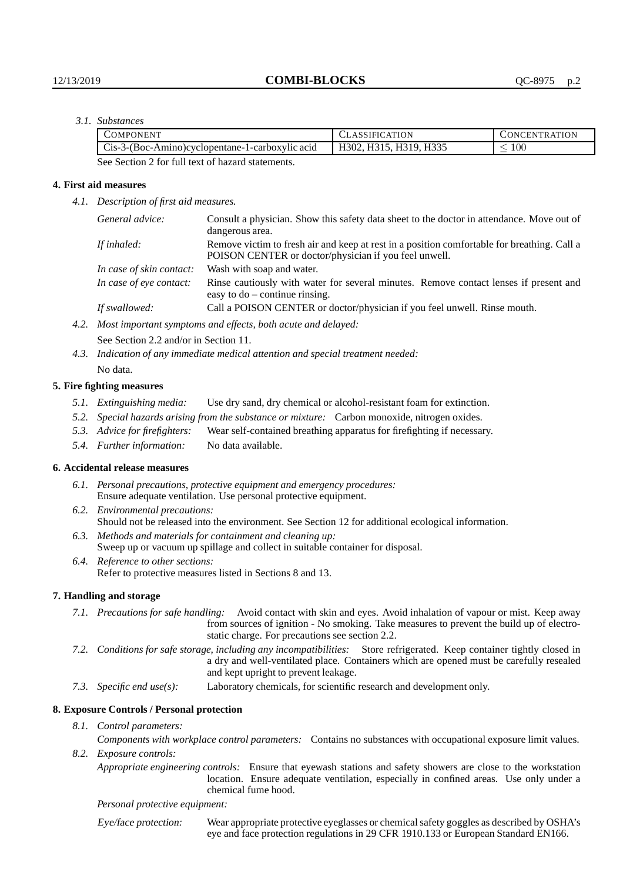# *3.1. Substances*

| COMPONENT                                       | <b>CLASSIFICATION</b>  | <b>CONCENTRATION</b> |
|-------------------------------------------------|------------------------|----------------------|
| Cis-3-(Boc-Amino)cyclopentane-1-carboxylic acid | H302, H315, H319, H335 | 100                  |
| .<br>- - - - -                                  |                        |                      |

See Section 2 for full text of hazard statements.

### **4. First aid measures**

*4.1. Description of first aid measures.*

| General advice:          | Consult a physician. Show this safety data sheet to the doctor in attendance. Move out of<br>dangerous area.                                         |
|--------------------------|------------------------------------------------------------------------------------------------------------------------------------------------------|
| If inhaled:              | Remove victim to fresh air and keep at rest in a position comfortable for breathing. Call a<br>POISON CENTER or doctor/physician if you feel unwell. |
| In case of skin contact: | Wash with soap and water.                                                                                                                            |
| In case of eye contact:  | Rinse cautiously with water for several minutes. Remove contact lenses if present and<br>easy to $do$ – continue rinsing.                            |
| If swallowed:            | Call a POISON CENTER or doctor/physician if you feel unwell. Rinse mouth.                                                                            |
|                          | Most in outget guardouse and effects leads gouts and delayed.                                                                                        |

*4.2. Most important symptoms and effects, both acute and delayed:*

See Section 2.2 and/or in Section 11.

*4.3. Indication of any immediate medical attention and special treatment needed:* No data.

#### **5. Fire fighting measures**

- *5.1. Extinguishing media:* Use dry sand, dry chemical or alcohol-resistant foam for extinction.
- *5.2. Special hazards arising from the substance or mixture:* Carbon monoxide, nitrogen oxides.
- *5.3. Advice for firefighters:* Wear self-contained breathing apparatus for firefighting if necessary.
- *5.4. Further information:* No data available.

### **6. Accidental release measures**

- *6.1. Personal precautions, protective equipment and emergency procedures:* Ensure adequate ventilation. Use personal protective equipment.
- *6.2. Environmental precautions:* Should not be released into the environment. See Section 12 for additional ecological information.
- *6.3. Methods and materials for containment and cleaning up:* Sweep up or vacuum up spillage and collect in suitable container for disposal.
- *6.4. Reference to other sections:* Refer to protective measures listed in Sections 8 and 13.

### **7. Handling and storage**

- *7.1. Precautions for safe handling:* Avoid contact with skin and eyes. Avoid inhalation of vapour or mist. Keep away from sources of ignition - No smoking. Take measures to prevent the build up of electrostatic charge. For precautions see section 2.2.
- *7.2. Conditions for safe storage, including any incompatibilities:* Store refrigerated. Keep container tightly closed in a dry and well-ventilated place. Containers which are opened must be carefully resealed and kept upright to prevent leakage.
- *7.3. Specific end use(s):* Laboratory chemicals, for scientific research and development only.

### **8. Exposure Controls / Personal protection**

*8.1. Control parameters:*

*Components with workplace control parameters:* Contains no substances with occupational exposure limit values. *8.2. Exposure controls:*

*Appropriate engineering controls:* Ensure that eyewash stations and safety showers are close to the workstation location. Ensure adequate ventilation, especially in confined areas. Use only under a chemical fume hood.

#### *Personal protective equipment:*

Eye/face protection: Wear appropriate protective eyeglasses or chemical safety goggles as described by OSHA's eye and face protection regulations in 29 CFR 1910.133 or European Standard EN166.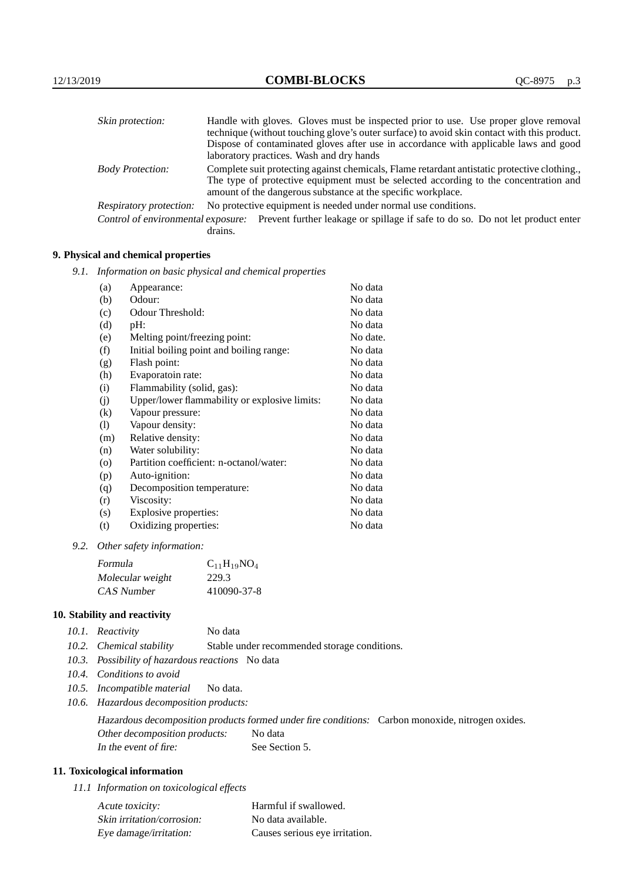| Skin protection:        | Handle with gloves. Gloves must be inspected prior to use. Use proper glove removal                                                                  |
|-------------------------|------------------------------------------------------------------------------------------------------------------------------------------------------|
|                         | technique (without touching glove's outer surface) to avoid skin contact with this product.                                                          |
|                         | Dispose of contaminated gloves after use in accordance with applicable laws and good                                                                 |
|                         | laboratory practices. Wash and dry hands                                                                                                             |
| <b>Body Protection:</b> | Complete suit protecting against chemicals, Flame retardant antistatic protective clothing.                                                          |
|                         | The type of protective equipment must be selected according to the concentration and<br>amount of the dangerous substance at the specific workplace. |
| Respiratory protection: | No protective equipment is needed under normal use conditions.                                                                                       |
|                         | Control of environmental exposure: Prevent further leakage or spillage if safe to do so. Do not let product enter<br>drains.                         |

## **9. Physical and chemical properties**

*9.1. Information on basic physical and chemical properties*

| (a)                        | Appearance:                                   | No data  |
|----------------------------|-----------------------------------------------|----------|
| (b)                        | Odour:                                        | No data  |
| (c)                        | Odour Threshold:                              | No data  |
| (d)                        | pH:                                           | No data  |
| (e)                        | Melting point/freezing point:                 | No date. |
| (f)                        | Initial boiling point and boiling range:      | No data  |
| (g)                        | Flash point:                                  | No data  |
| (h)                        | Evaporatoin rate:                             | No data  |
| (i)                        | Flammability (solid, gas):                    | No data  |
| (j)                        | Upper/lower flammability or explosive limits: | No data  |
| $\left( k\right)$          | Vapour pressure:                              | No data  |
| $\left( \mathrm{l}\right)$ | Vapour density:                               | No data  |
| (m)                        | Relative density:                             | No data  |
| (n)                        | Water solubility:                             | No data  |
| $\circ$                    | Partition coefficient: n-octanol/water:       | No data  |
| (p)                        | Auto-ignition:                                | No data  |
| (q)                        | Decomposition temperature:                    | No data  |
| (r)                        | Viscosity:                                    | No data  |
| (s)                        | Explosive properties:                         | No data  |
| (t)                        | Oxidizing properties:                         | No data  |
|                            |                                               |          |

*9.2. Other safety information:*

| Formula          | $C_{11}H_{19}NO_4$ |
|------------------|--------------------|
| Molecular weight | 229.3              |
| CAS Number       | 410090-37-8        |

# **10. Stability and reactivity**

|  | 10.1. Reactivity | No data |
|--|------------------|---------|
|--|------------------|---------|

- *10.2. Chemical stability* Stable under recommended storage conditions.
- *10.3. Possibility of hazardous reactions* No data
- *10.4. Conditions to avoid*
- *10.5. Incompatible material* No data.
- *10.6. Hazardous decomposition products:*

Hazardous decomposition products formed under fire conditions: Carbon monoxide, nitrogen oxides. Other decomposition products: No data In the event of fire: See Section 5.

# **11. Toxicological information**

*11.1 Information on toxicological effects*

| Acute toxicity:            | Harmful if swallowed.          |
|----------------------------|--------------------------------|
| Skin irritation/corrosion: | No data available.             |
| Eye damage/irritation:     | Causes serious eye irritation. |